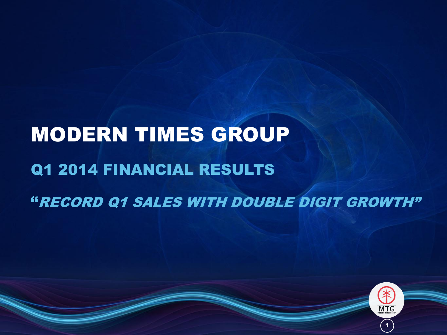# MODERN TIMES GROUP Q1 2014 FINANCIAL RESULTS "RECORD Q1 SALES WITH DOUBLE DIGIT GROWTH"

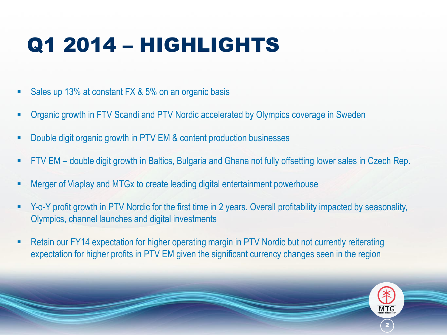## Q1 2014 – HIGHLIGHTS

- Sales up 13% at constant FX & 5% on an organic basis
- Organic growth in FTV Scandi and PTV Nordic accelerated by Olympics coverage in Sweden
- Double digit organic growth in PTV EM & content production businesses
- FTV EM double digit growth in Baltics, Bulgaria and Ghana not fully offsetting lower sales in Czech Rep.
- Merger of Viaplay and MTGx to create leading digital entertainment powerhouse
- Y-o-Y profit growth in PTV Nordic for the first time in 2 years. Overall profitability impacted by seasonality, Olympics, channel launches and digital investments
- Retain our FY14 expectation for higher operating margin in PTV Nordic but not currently reiterating expectation for higher profits in PTV EM given the significant currency changes seen in the region

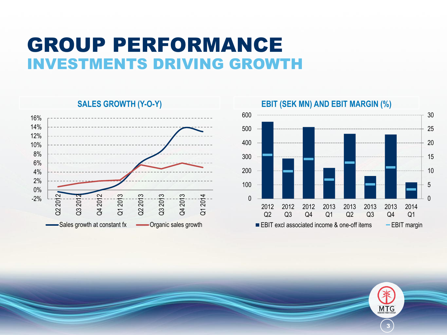### GROUP PERFORMANCE INVESTMENTS DRIVING GROWTH

-2% 0% 2% 4% 6% 8% 10% 12% 14% 16% Q2 2012 Q3 2012 Q4 2012 Q1 2013 Q2 2013 Q3 2013 Q4 2013 Q1 2014 Sales growth at constant fx **-** Organic sales growth



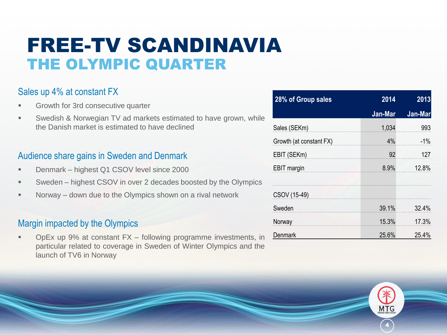### FREE-TV SCANDINAVIA THE OLYMPIC QUARTER

#### Sales up 4% at constant FX

- Growth for 3rd consecutive quarter
- Swedish & Norwegian TV ad markets estimated to have grown, while the Danish market is estimated to have declined

#### Audience share gains in Sweden and Denmark

- **Denmark highest Q1 CSOV level since 2000**
- Sweden highest CSOV in over 2 decades boosted by the Olympics
- **Norway down due to the Olympics shown on a rival network**

#### Margin impacted by the Olympics

 OpEx up 9% at constant FX – following programme investments, in particular related to coverage in Sweden of Winter Olympics and the launch of TV6 in Norway

| 28% of Group sales      | 2014    | 2013    |
|-------------------------|---------|---------|
|                         | Jan-Mar | Jan-Mar |
| Sales (SEKm)            | 1,034   | 993     |
| Growth (at constant FX) | 4%      | $-1%$   |
| EBIT (SEKm)             | 92      | 127     |
| <b>EBIT</b> margin      | 8.9%    | 12.8%   |
| CSOV (15-49)            |         |         |
| Sweden                  | 39.1%   | 32.4%   |
| Norway                  | 15.3%   | 17.3%   |
| Denmark                 | 25.6%   | 25.4%   |

4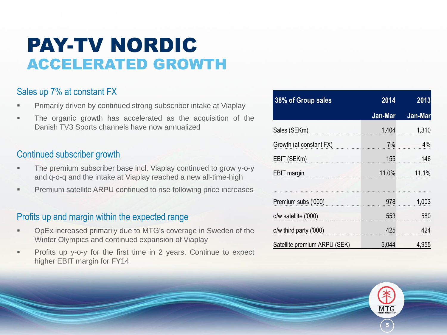### PAY-TV NORDIC ACCELERATED GROWTH

#### Sales up 7% at constant FX

- Primarily driven by continued strong subscriber intake at Viaplay
- The organic growth has accelerated as the acquisition of the Danish TV3 Sports channels have now annualized

#### Continued subscriber growth

- The premium subscriber base incl. Viaplay continued to grow y-o-y and q-o-q and the intake at Viaplay reached a new all-time-high
- Premium satellite ARPU continued to rise following price increases

#### Profits up and margin within the expected range

- OpEx increased primarily due to MTG's coverage in Sweden of the Winter Olympics and continued expansion of Viaplay
- Profits up y-o-y for the first time in 2 years. Continue to expect higher EBIT margin for FY14

| 38% of Group sales           | 2014    | 2013    |
|------------------------------|---------|---------|
|                              | Jan-Mar | Jan-Mar |
| Sales (SEKm)                 | 1,404   | 1,310   |
| Growth (at constant FX)      | 7%      | 4%      |
| EBIT (SEKm)                  | 155     | 146     |
| <b>EBIT</b> margin           | 11.0%   | 11.1%   |
|                              |         |         |
| Premium subs ('000)          | 978     | 1,003   |
| o/w satellite ('000)         | 553     | 580     |
| o/w third party ('000)       | 425     | 424     |
| Satellite premium ARPU (SEK) | 5,044   | 4,955   |

5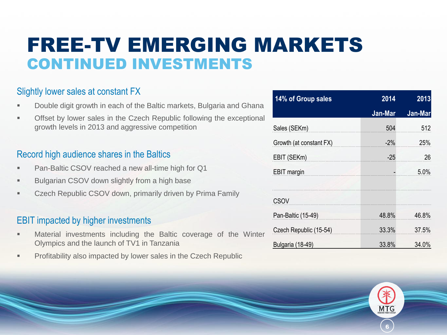### FREE-TV EMERGING MARKETS CONTINUED INVESTMENTS

#### Slightly lower sales at constant FX

- Double digit growth in each of the Baltic markets, Bulgaria and Ghana
- Offset by lower sales in the Czech Republic following the exceptional growth levels in 2013 and aggressive competition

#### Record high audience shares in the Baltics

- Pan-Baltic CSOV reached a new all-time high for Q1
- Bulgarian CSOV down slightly from a high base
- Czech Republic CSOV down, primarily driven by Prima Family

#### EBIT impacted by higher investments

- Material investments including the Baltic coverage of the Winter Olympics and the launch of TV1 in Tanzania
- Profitability also impacted by lower sales in the Czech Republic

| 14% of Group sales      | 2014    | 2013    |
|-------------------------|---------|---------|
|                         | Jan-Mar | Jan-Mar |
| Sales (SEKm)            | 504     | 512     |
| Growth (at constant FX) | $-2\%$  | 25%     |
| EBIT (SEKm)             | $-25$   | 26      |
| <b>EBIT</b> margin      |         | 5.0%    |
|                         |         |         |
| CSOV                    |         |         |
| Pan-Baltic (15-49)      | 48.8%   | 46.8%   |
| Czech Republic (15-54)  | 33.3%   | 37.5%   |
| Bulgaria (18-49)        | 33.8%   | 34.0%   |

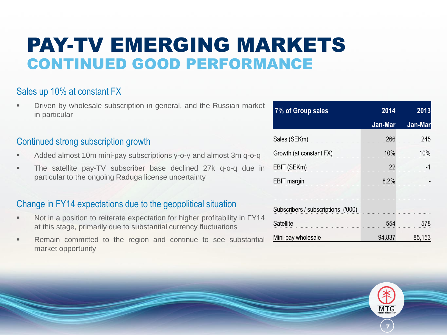### PAY-TV EMERGING MARKETS CONTINUED GOOD PERFORMANCE

#### Sales up 10% at constant FX

 Driven by wholesale subscription in general, and the Russian market in particular

#### Continued strong subscription growth

- Added almost 10m mini-pay subscriptions y-o-y and almost 3m q-o-q
- The satellite pay-TV subscriber base declined 27k q-o-q due in particular to the ongoing Raduga license uncertainty

#### Change in FY14 expectations due to the geopolitical situation

- Not in a position to reiterate expectation for higher profitability in FY14 at this stage, primarily due to substantial currency fluctuations
- **Remain committed to the region and continue to see substantial** market opportunity

| 7% of Group sales                                                                  | 2014    | 2013    |
|------------------------------------------------------------------------------------|---------|---------|
|                                                                                    | Jan-Mar | Jan-Mar |
| Sales (SEKm)                                                                       | 266     | 245     |
| Growth (at constant FX)                                                            | $10\%$  | 10%     |
| EBIT (SEKm)                                                                        | 22      | $-1$    |
| <b>EBIT</b> margin<br>the property of the control of the control of the control of | 8.2%    |         |
|                                                                                    |         |         |
| Subscribers / subscriptions ('000)                                                 |         |         |
| Satellite                                                                          | 554     | 578     |
| Mini-pay wholesale                                                                 | 94,837  | 85,153  |

7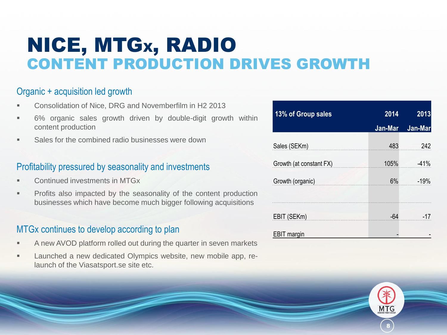### NICE, MTGX, RADIO CONTENT PRODUCTION DRIVES GROWTH

#### Organic + acquisition led growth

- Consolidation of Nice, DRG and Novemberfilm in H2 2013
- 6% organic sales growth driven by double-digit growth within content production
- Sales for the combined radio businesses were down

#### Profitability pressured by seasonality and investments

- Continued investments in MTGx
- Profits also impacted by the seasonality of the content production businesses which have become much bigger following acquisitions

#### MTGx continues to develop according to plan

- A new AVOD platform rolled out during the quarter in seven markets
- Launched a new dedicated Olympics website, new mobile app, relaunch of the Viasatsport.se site etc.

| 13% of Group sales      | 2014    | 2013    |
|-------------------------|---------|---------|
|                         | Jan-Mar | Jan-Mar |
| Sales (SEKm)            | 483     | 242     |
| Growth (at constant FX) | 105%    | $-41%$  |
| Growth (organic)        | 6%      | $-19%$  |
|                         |         |         |
| EBIT (SEKm)             | -64     | -17     |
| <b>EBIT</b> margin      |         |         |

8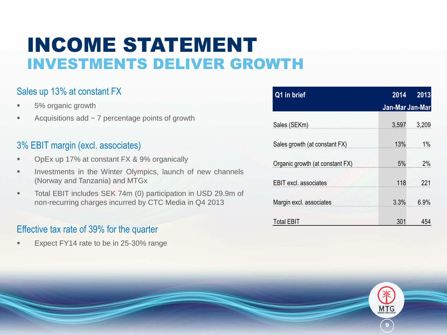### INCOME STATEMENT INVESTMENTS DELIVER GROWTH

#### Sales up 13% at constant FX

- 5% organic growth
- Acquisitions add  $\sim$  7 percentage points of growth

#### 3% EBIT margin (excl. associates)

- OpEx up 17% at constant FX & 9% organically
- **Investments in the Winter Olympics, launch of new channels** (Norway and Tanzania) and MTGx
- Total EBIT includes SEK 74m (0) participation in USD 29.9m of non-recurring charges incurred by CTC Media in Q4 2013

#### Effective tax rate of 39% for the quarter

Expect FY14 rate to be in 25-30% range

| Q1 in brief                     | 2014            | 2013  |
|---------------------------------|-----------------|-------|
|                                 | Jan-Mar Jan-Mar |       |
| Sales (SEKm)                    | 3,597           | 3,209 |
| Sales growth (at constant FX)   | 13%             | $1\%$ |
| Organic growth (at constant FX) | 5%              | 2%    |
| <b>EBIT</b> excl. associates    | 118             | 221   |
| Margin excl. associates         | 3.3%            | 6.9%  |
| Total EBIT                      | 301             | 454   |

9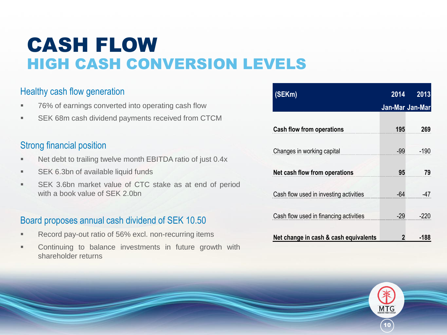### CASH FLOW HIGH CASH CONVERSION LEVELS

#### Healthy cash flow generation

- 76% of earnings converted into operating cash flow
- **SEK 68m cash dividend payments received from CTCM**

#### Strong financial position

- **Net debt to trailing twelve month EBITDA ratio of just 0.4x**
- **SEK 6.3bn of available liquid funds**
- SEK 3.6bn market value of CTC stake as at end of period with a book value of SEK 2.0bn

#### Board proposes annual cash dividend of SEK 10.50

- Record pay-out ratio of 56% excl. non-recurring items
- Continuing to balance investments in future growth with shareholder returns

| (SEKm)                                 | 2014  | 2013            |
|----------------------------------------|-------|-----------------|
|                                        |       | Jan-Mar Jan-Mar |
| <b>Cash flow from operations</b>       | 195   | 269             |
| Changes in working capital             | -99   | $-190$          |
| Net cash flow from operations          | 95    | 79              |
| Cash flow used in investing activities | $-64$ | -47             |
| Cash flow used in financing activities | $-29$ | $-220$          |
| Net change in cash & cash equivalents  |       | -188            |

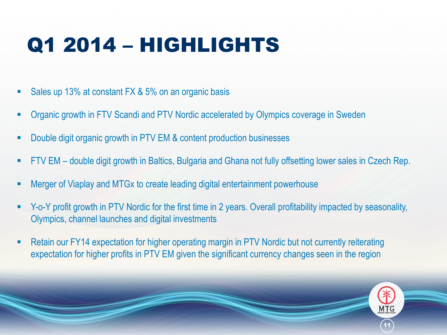## Q1 2014 – HIGHLIGHTS

- Sales up 13% at constant FX & 5% on an organic basis
- Organic growth in FTV Scandi and PTV Nordic accelerated by Olympics coverage in Sweden
- Double digit organic growth in PTV EM & content production businesses
- FTV EM double digit growth in Baltics, Bulgaria and Ghana not fully offsetting lower sales in Czech Rep.
- Merger of Viaplay and MTGx to create leading digital entertainment powerhouse
- Y-o-Y profit growth in PTV Nordic for the first time in 2 years. Overall profitability impacted by seasonality, Olympics, channel launches and digital investments
- Retain our FY14 expectation for higher operating margin in PTV Nordic but not currently reiterating expectation for higher profits in PTV EM given the significant currency changes seen in the region